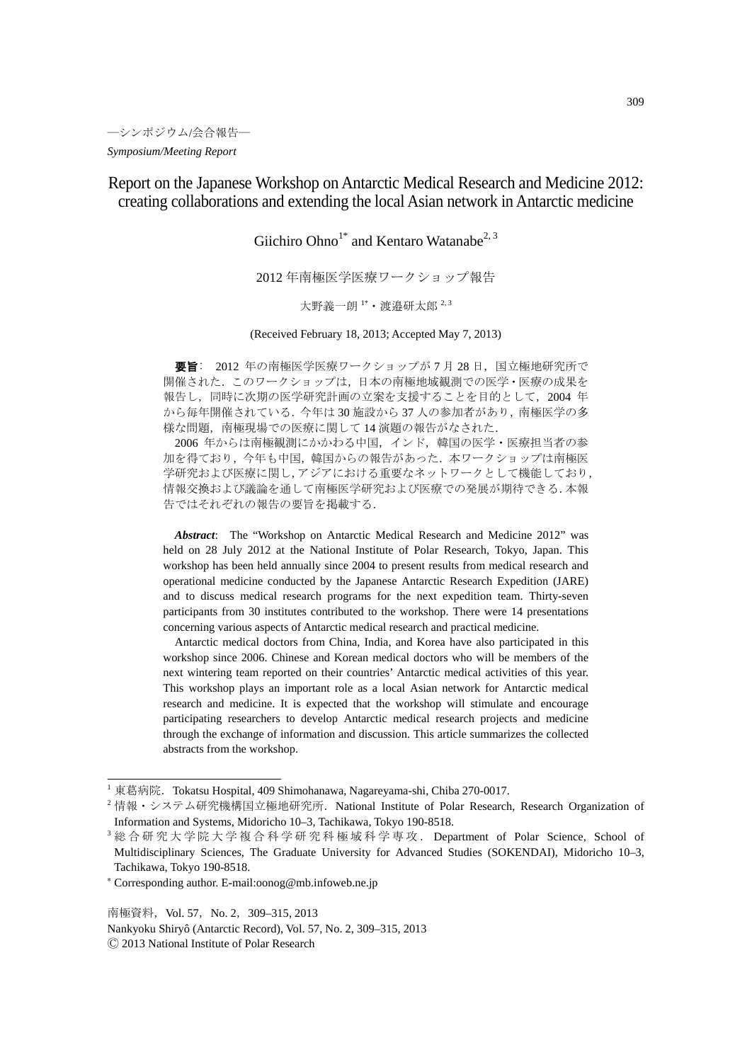Report on the Japanese Workshop on Antarctic Medical Research and Medicine 2012: creating collaborations and extending the local Asian network in Antarctic medicine

Giichiro Ohno<sup>1\*</sup> and Kentaro Watanabe<sup>2, 3</sup>

2012 年南極医学医療ワークショップ報告

大野義一朗<sup>1\*</sup>·渡邉研太郎<sup>2,3</sup>

(Received February 18, 2013; Accepted May 7, 2013)

要旨: 2012 年の南極医学医療ワークショップが7月28日,国立極地研究所で 開催された.このワークショップは,日本の南極地域観測での医学・医療の成果を 報告し,同時に次期の医学研究計画の立案を支援することを目的として,2004 年 から毎年開催されている.今年は 30 施設から 37 人の参加者があり,南極医学の多 様な問題,南極現場での医療に関して 14 演題の報告がなされた.

2006 年からは南極観測にかかわる中国,インド,韓国の医学・医療担当者の参 加を得ており,今年も中国,韓国からの報告があった.本ワークショップは南極医 学研究および医療に関し,アジアにおける重要なネットワークとして機能しており, 情報交換および議論を通して南極医学研究および医療での発展が期待できる.本報 告ではそれぞれの報告の要旨を掲載する.

 *Abstract*: The "Workshop on Antarctic Medical Research and Medicine 2012" was held on 28 July 2012 at the National Institute of Polar Research, Tokyo, Japan. This workshop has been held annually since 2004 to present results from medical research and operational medicine conducted by the Japanese Antarctic Research Expedition (JARE) and to discuss medical research programs for the next expedition team. Thirty-seven participants from 30 institutes contributed to the workshop. There were 14 presentations concerning various aspects of Antarctic medical research and practical medicine.

Antarctic medical doctors from China, India, and Korea have also participated in this workshop since 2006. Chinese and Korean medical doctors who will be members of the next wintering team reported on their countries' Antarctic medical activities of this year. This workshop plays an important role as a local Asian network for Antarctic medical research and medicine. It is expected that the workshop will stimulate and encourage participating researchers to develop Antarctic medical research projects and medicine through the exchange of information and discussion. This article summarizes the collected abstracts from the workshop.

南極資料, Vol. 57, No. 2, 309-315, 2013 Nankyoku Shiryô (Antarctic Record), Vol. 57, No. 2, 309–315, 2013 Ⓒ 2013 National Institute of Polar Research

<sup>&</sup>lt;sup>1</sup> 東葛病院. Tokatsu Hospital, 409 Shimohanawa, Nagareyama-shi, Chiba 270-0017.<br><sup>2</sup> 情報・システム研究機構国立極地研究所. National Institute of Polar Research, Research Organization of Information and Systems, Midoricho 10–3, Tachikawa, Tokyo 190-8518.

<sup>3</sup> 総合研究大学院大学複合科学研究科極域科学専攻. Department of Polar Science, School of Multidisciplinary Sciences, The Graduate University for Advanced Studies (SOKENDAI), Midoricho 10–3, Tachikawa, Tokyo 190-8518.

<sup>\*</sup> Corresponding author. E-mail:oonog@mb.infoweb.ne.jp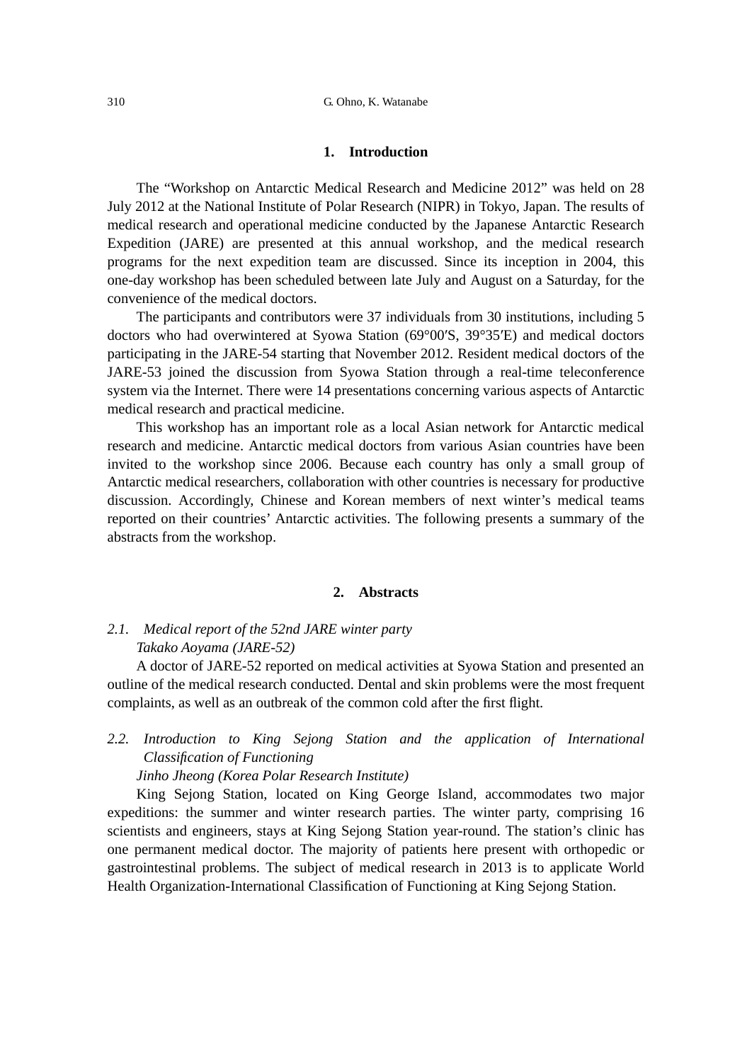#### **1. Introduction**

The "Workshop on Antarctic Medical Research and Medicine 2012" was held on 28 July 2012 at the National Institute of Polar Research (NIPR) in Tokyo, Japan. The results of medical research and operational medicine conducted by the Japanese Antarctic Research Expedition (JARE) are presented at this annual workshop, and the medical research programs for the next expedition team are discussed. Since its inception in 2004, this one-day workshop has been scheduled between late July and August on a Saturday, for the convenience of the medical doctors.

The participants and contributors were 37 individuals from 30 institutions, including 5 doctors who had overwintered at Syowa Station (69°00′S, 39°35′E) and medical doctors participating in the JARE-54 starting that November 2012. Resident medical doctors of the JARE-53 joined the discussion from Syowa Station through a real-time teleconference system via the Internet. There were 14 presentations concerning various aspects of Antarctic medical research and practical medicine.

This workshop has an important role as a local Asian network for Antarctic medical research and medicine. Antarctic medical doctors from various Asian countries have been invited to the workshop since 2006. Because each country has only a small group of Antarctic medical researchers, collaboration with other countries is necessary for productive discussion. Accordingly, Chinese and Korean members of next winter's medical teams reported on their countries' Antarctic activities. The following presents a summary of the abstracts from the workshop.

#### **2. Abstracts**

# *2.1. Medical report of the 52nd JARE winter party Takako Aoyama (JARE-52)*

A doctor of JARE-52 reported on medical activities at Syowa Station and presented an outline of the medical research conducted. Dental and skin problems were the most frequent complaints, as well as an outbreak of the common cold after the first flight.

# 2.2. Introduction to King Sejong Station and the application of International *Classification of Functioning*

*Jinho Jheong (Korea Polar Research Institute)* 

King Sejong Station, located on King George Island, accommodates two major expeditions: the summer and winter research parties. The winter party, comprising 16 scientists and engineers, stays at King Sejong Station year-round. The station's clinic has one permanent medical doctor. The majority of patients here present with orthopedic or gastrointestinal problems. The subject of medical research in 2013 is to applicate World Health Organization-International Classification of Functioning at King Sejong Station.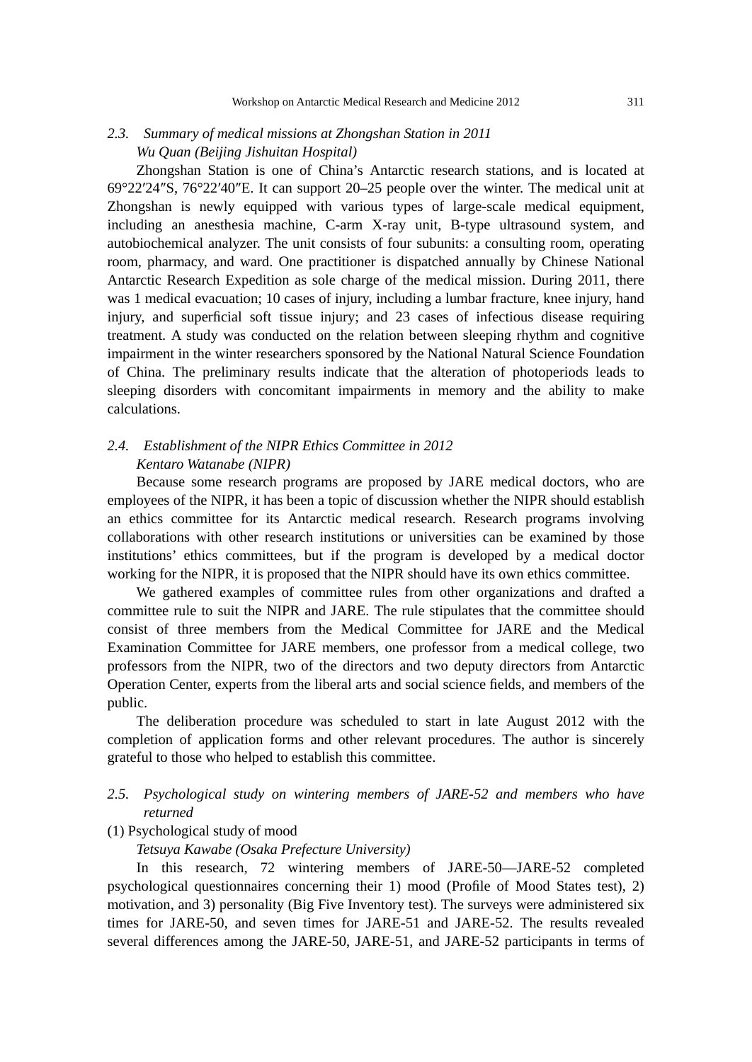# *2.3. Summary of medical missions at Zhongshan Station in 2011 Wu Quan (Beijing Jishuitan Hospital)*

Zhongshan Station is one of China's Antarctic research stations, and is located at 69°22′24″S, 76°22′40″E. It can support 20–25 people over the winter. The medical unit at Zhongshan is newly equipped with various types of large-scale medical equipment, including an anesthesia machine, C-arm X-ray unit, B-type ultrasound system, and autobiochemical analyzer. The unit consists of four subunits: a consulting room, operating room, pharmacy, and ward. One practitioner is dispatched annually by Chinese National Antarctic Research Expedition as sole charge of the medical mission. During 2011, there was 1 medical evacuation; 10 cases of injury, including a lumbar fracture, knee injury, hand injury, and superficial soft tissue injury; and 23 cases of infectious disease requiring treatment. A study was conducted on the relation between sleeping rhythm and cognitive impairment in the winter researchers sponsored by the National Natural Science Foundation of China. The preliminary results indicate that the alteration of photoperiods leads to sleeping disorders with concomitant impairments in memory and the ability to make calculations.

## *2.4. Establishment of the NIPR Ethics Committee in 2012 Kentaro Watanabe (NIPR)*

Because some research programs are proposed by JARE medical doctors, who are employees of the NIPR, it has been a topic of discussion whether the NIPR should establish an ethics committee for its Antarctic medical research. Research programs involving collaborations with other research institutions or universities can be examined by those institutions' ethics committees, but if the program is developed by a medical doctor working for the NIPR, it is proposed that the NIPR should have its own ethics committee.

We gathered examples of committee rules from other organizations and drafted a committee rule to suit the NIPR and JARE. The rule stipulates that the committee should consist of three members from the Medical Committee for JARE and the Medical Examination Committee for JARE members, one professor from a medical college, two professors from the NIPR, two of the directors and two deputy directors from Antarctic Operation Center, experts from the liberal arts and social science fields, and members of the public.

The deliberation procedure was scheduled to start in late August 2012 with the completion of application forms and other relevant procedures. The author is sincerely grateful to those who helped to establish this committee.

## *2.5. Psychological study on wintering members of JARE-52 and members who have returned*

## (1) Psychological study of mood

## *Tetsuya Kawabe (Osaka Prefecture University)*

In this research, 72 wintering members of JARE-50—JARE-52 completed psychological questionnaires concerning their 1) mood (Profile of Mood States test), 2) motivation, and 3) personality (Big Five Inventory test). The surveys were administered six times for JARE-50, and seven times for JARE-51 and JARE-52. The results revealed several differences among the JARE-50, JARE-51, and JARE-52 participants in terms of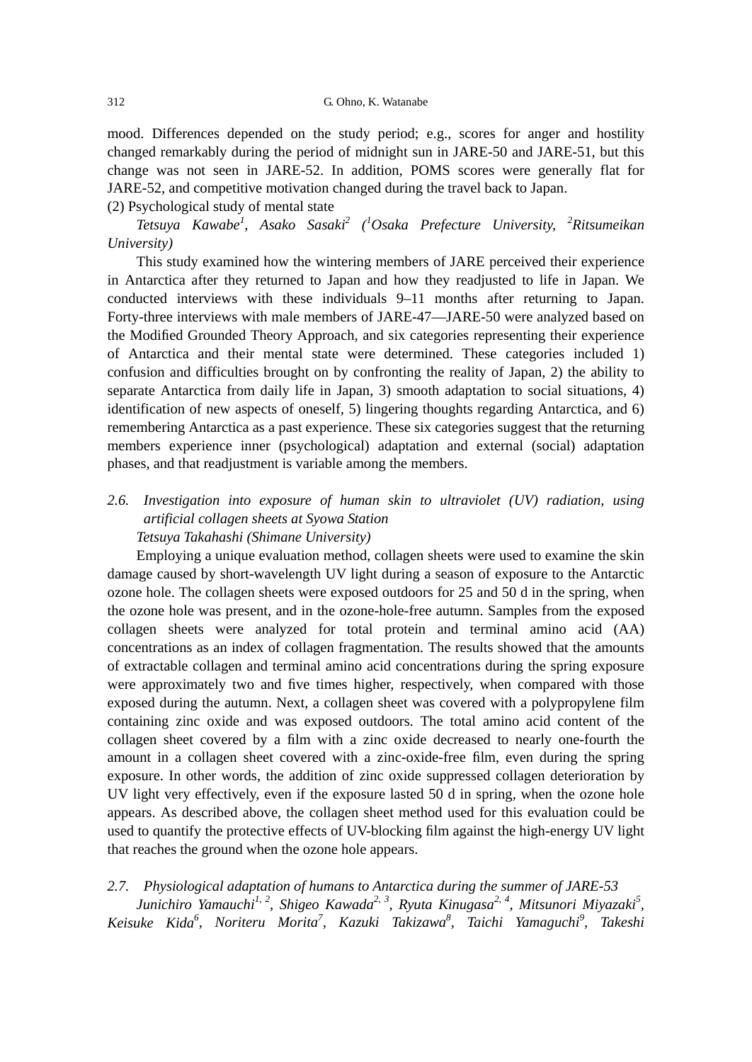mood. Differences depended on the study period; e.g., scores for anger and hostility changed remarkably during the period of midnight sun in JARE-50 and JARE-51, but this change was not seen in JARE-52. In addition, POMS scores were generally flat for JARE-52, and competitive motivation changed during the travel back to Japan.

(2) Psychological study of mental state

*Tetsuya Kawabe1 , Asako Sasaki2 (1 Osaka Prefecture University, <sup>2</sup> Ritsumeikan University)* 

This study examined how the wintering members of JARE perceived their experience in Antarctica after they returned to Japan and how they readjusted to life in Japan. We conducted interviews with these individuals 9–11 months after returning to Japan. Forty-three interviews with male members of JARE-47—JARE-50 were analyzed based on the Modified Grounded Theory Approach, and six categories representing their experience of Antarctica and their mental state were determined. These categories included 1) confusion and difficulties brought on by confronting the reality of Japan, 2) the ability to separate Antarctica from daily life in Japan, 3) smooth adaptation to social situations, 4) identification of new aspects of oneself, 5) lingering thoughts regarding Antarctica, and 6) remembering Antarctica as a past experience. These six categories suggest that the returning members experience inner (psychological) adaptation and external (social) adaptation phases, and that readjustment is variable among the members.

# *2.6. Investigation into exposure of human skin to ultraviolet (UV) radiation, using artificial collagen sheets at Syowa Station Tetsuya Takahashi (Shimane University)*

Employing a unique evaluation method, collagen sheets were used to examine the skin damage caused by short-wavelength UV light during a season of exposure to the Antarctic ozone hole. The collagen sheets were exposed outdoors for 25 and 50 d in the spring, when the ozone hole was present, and in the ozone-hole-free autumn. Samples from the exposed collagen sheets were analyzed for total protein and terminal amino acid (AA) concentrations as an index of collagen fragmentation. The results showed that the amounts of extractable collagen and terminal amino acid concentrations during the spring exposure were approximately two and five times higher, respectively, when compared with those exposed during the autumn. Next, a collagen sheet was covered with a polypropylene film containing zinc oxide and was exposed outdoors. The total amino acid content of the collagen sheet covered by a film with a zinc oxide decreased to nearly one-fourth the amount in a collagen sheet covered with a zinc-oxide-free film, even during the spring exposure. In other words, the addition of zinc oxide suppressed collagen deterioration by UV light very effectively, even if the exposure lasted 50 d in spring, when the ozone hole appears. As described above, the collagen sheet method used for this evaluation could be used to quantify the protective effects of UV-blocking film against the high-energy UV light that reaches the ground when the ozone hole appears.

*2.7. Physiological adaptation of humans to Antarctica during the summer of JARE-53*  Junichiro Yamauchi<sup>1, 2</sup>, Shigeo Kawada<sup>2, 3</sup>, Ryuta Kinugasa<sup>2, 4</sup>, Mitsunori Miyazaki<sup>5</sup>, *Keisuke Kida6 , Noriteru Morita<sup>7</sup> , Kazuki Takizawa<sup>8</sup> , Taichi Yamaguchi9 , Takeshi*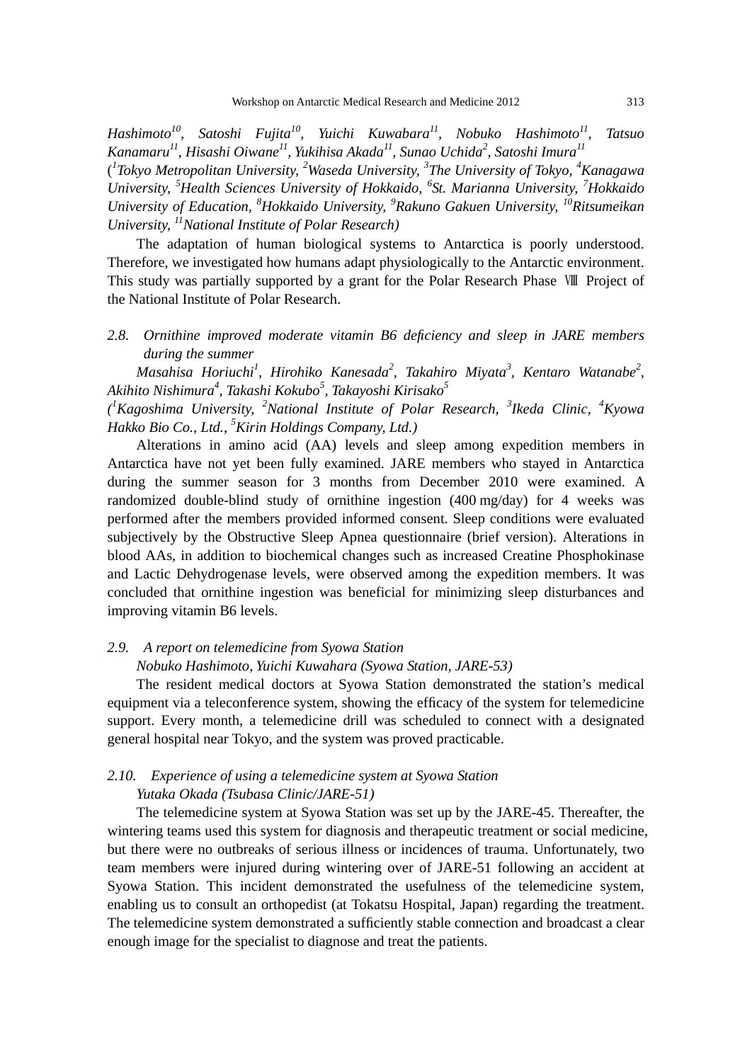*Hashimoto10, Satoshi Fujita10, Yuichi Kuwabara11, Nobuko Hashimoto11, Tatsuo Kanamaru11, Hisashi Oiwane11, Yukihisa Akada11, Sunao Uchida2 , Satoshi Imura<sup>11</sup>* ( *1 Tokyo Metropolitan University, <sup>2</sup> Waseda University, <sup>3</sup> The University of Tokyo, <sup>4</sup> Kanagawa University, <sup>5</sup> Health Sciences University of Hokkaido, <sup>6</sup> St. Marianna University, <sup>7</sup> Hokkaido University of Education, <sup>8</sup> Hokkaido University, <sup>9</sup> Rakuno Gakuen University, 10Ritsumeikan University, 11National Institute of Polar Research)* 

The adaptation of human biological systems to Antarctica is poorly understood. Therefore, we investigated how humans adapt physiologically to the Antarctic environment. This study was partially supported by a grant for the Polar Research Phase Ⅷ Project of the National Institute of Polar Research.

*2.8. Ornithine improved moderate vitamin B6 deficiency and sleep in JARE members during the summer* 

 $M$ asahisa Horiuchi<sup>1</sup>, Hirohiko Kanesada<sup>2</sup>, Takahiro Miyata<sup>3</sup>, Kentaro Watanabe<sup>2</sup>, *Akihito Nishimura<sup>4</sup> , Takashi Kokubo<sup>5</sup> , Takayoshi Kirisako<sup>5</sup>*

*( 1 Kagoshima University, <sup>2</sup> National Institute of Polar Research, <sup>3</sup> Ikeda Clinic, <sup>4</sup> Kyowa Hakko Bio Co., Ltd., <sup>5</sup> Kirin Holdings Company, Ltd.)* 

Alterations in amino acid (AA) levels and sleep among expedition members in Antarctica have not yet been fully examined. JARE members who stayed in Antarctica during the summer season for 3 months from December 2010 were examined. A randomized double-blind study of ornithine ingestion (400 mg/day) for 4 weeks was performed after the members provided informed consent. Sleep conditions were evaluated subjectively by the Obstructive Sleep Apnea questionnaire (brief version). Alterations in blood AAs, in addition to biochemical changes such as increased Creatine Phosphokinase and Lactic Dehydrogenase levels, were observed among the expedition members. It was concluded that ornithine ingestion was beneficial for minimizing sleep disturbances and improving vitamin B6 levels.

## *2.9. A report on telemedicine from Syowa Station Nobuko Hashimoto, Yuichi Kuwahara (Syowa Station, JARE-53)*

The resident medical doctors at Syowa Station demonstrated the station's medical equipment via a teleconference system, showing the efficacy of the system for telemedicine support. Every month, a telemedicine drill was scheduled to connect with a designated general hospital near Tokyo, and the system was proved practicable.

## *2.10. Experience of using a telemedicine system at Syowa Station Yutaka Okada (Tsubasa Clinic/JARE-51)*

The telemedicine system at Syowa Station was set up by the JARE-45. Thereafter, the wintering teams used this system for diagnosis and therapeutic treatment or social medicine, but there were no outbreaks of serious illness or incidences of trauma. Unfortunately, two team members were injured during wintering over of JARE-51 following an accident at Syowa Station. This incident demonstrated the usefulness of the telemedicine system, enabling us to consult an orthopedist (at Tokatsu Hospital, Japan) regarding the treatment. The telemedicine system demonstrated a sufficiently stable connection and broadcast a clear enough image for the specialist to diagnose and treat the patients.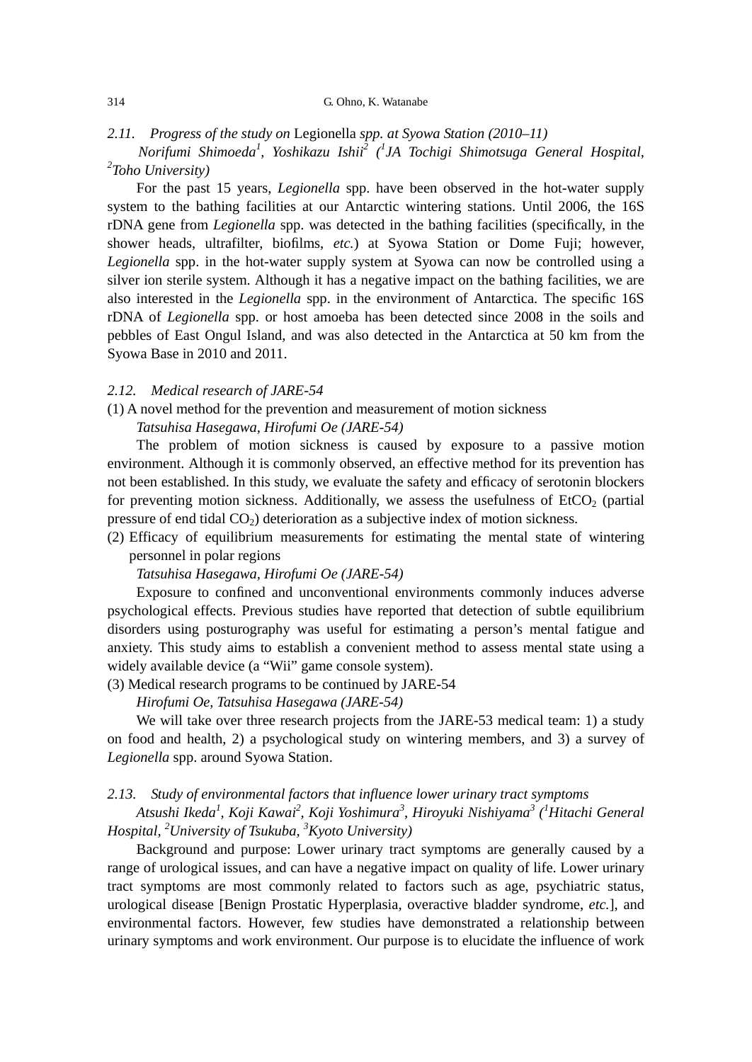#### 314 G. Ohno, K. Watanabe

#### *2.11. Progress of the study on* Legionella *spp. at Syowa Station (2010*–*11)*

 *Norifumi Shimoeda<sup>1</sup> , Yoshikazu Ishii2 (1 JA Tochigi Shimotsuga General Hospital, 2 Toho University)* 

For the past 15 years, *Legionella* spp. have been observed in the hot-water supply system to the bathing facilities at our Antarctic wintering stations. Until 2006, the 16S rDNA gene from *Legionella* spp. was detected in the bathing facilities (specifically, in the shower heads, ultrafilter, biofilms, *etc.*) at Syowa Station or Dome Fuji; however, *Legionella* spp. in the hot-water supply system at Syowa can now be controlled using a silver ion sterile system. Although it has a negative impact on the bathing facilities, we are also interested in the *Legionella* spp. in the environment of Antarctica. The specific 16S rDNA of *Legionella* spp. or host amoeba has been detected since 2008 in the soils and pebbles of East Ongul Island, and was also detected in the Antarctica at 50 km from the Syowa Base in 2010 and 2011.

#### *2.12. Medical research of JARE-54*

## (1) A novel method for the prevention and measurement of motion sickness *Tatsuhisa Hasegawa, Hirofumi Oe (JARE-54)*

The problem of motion sickness is caused by exposure to a passive motion environment. Although it is commonly observed, an effective method for its prevention has not been established. In this study, we evaluate the safety and efficacy of serotonin blockers for preventing motion sickness. Additionally, we assess the usefulness of  $E<sub>1</sub>CO<sub>2</sub>$  (partial pressure of end tidal  $CO<sub>2</sub>$ ) deterioration as a subjective index of motion sickness.

(2) Efficacy of equilibrium measurements for estimating the mental state of wintering personnel in polar regions

*Tatsuhisa Hasegawa, Hirofumi Oe (JARE-54)* 

Exposure to confined and unconventional environments commonly induces adverse psychological effects. Previous studies have reported that detection of subtle equilibrium disorders using posturography was useful for estimating a person's mental fatigue and anxiety. This study aims to establish a convenient method to assess mental state using a widely available device (a "Wii" game console system).

(3) Medical research programs to be continued by JARE-54

*Hirofumi Oe, Tatsuhisa Hasegawa (JARE-54)* 

We will take over three research projects from the JARE-53 medical team: 1) a study on food and health, 2) a psychological study on wintering members, and 3) a survey of *Legionella* spp. around Syowa Station.

## *2.13. Study of environmental factors that influence lower urinary tract symptoms*

*Atsushi Ikeda<sup>1</sup> , Koji Kawai2 , Koji Yoshimura<sup>3</sup> , Hiroyuki Nishiyama<sup>3</sup> (1 Hitachi General Hospital, <sup>2</sup> University of Tsukuba, 3 Kyoto University)* 

Background and purpose: Lower urinary tract symptoms are generally caused by a range of urological issues, and can have a negative impact on quality of life. Lower urinary tract symptoms are most commonly related to factors such as age, psychiatric status, urological disease [Benign Prostatic Hyperplasia, overactive bladder syndrome, *etc.*], and environmental factors. However, few studies have demonstrated a relationship between urinary symptoms and work environment. Our purpose is to elucidate the influence of work